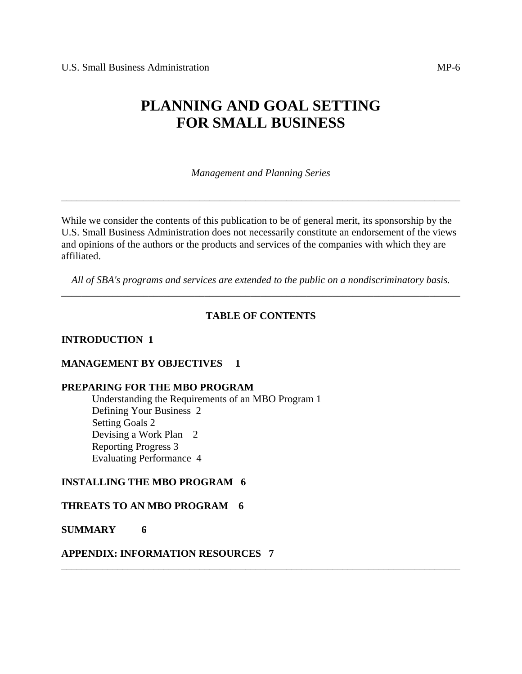# **PLANNING AND GOAL SETTING FOR SMALL BUSINESS**

*Management and Planning Series*

\_\_\_\_\_\_\_\_\_\_\_\_\_\_\_\_\_\_\_\_\_\_\_\_\_\_\_\_\_\_\_\_\_\_\_\_\_\_\_\_\_\_\_\_\_\_\_\_\_\_\_\_\_\_\_\_\_\_\_\_\_\_\_\_\_\_\_\_\_\_\_\_\_\_\_\_\_\_

While we consider the contents of this publication to be of general merit, its sponsorship by the U.S. Small Business Administration does not necessarily constitute an endorsement of the views and opinions of the authors or the products and services of the companies with which they are affiliated.

 *All of SBA's programs and services are extended to the public on a nondiscriminatory basis.* \_\_\_\_\_\_\_\_\_\_\_\_\_\_\_\_\_\_\_\_\_\_\_\_\_\_\_\_\_\_\_\_\_\_\_\_\_\_\_\_\_\_\_\_\_\_\_\_\_\_\_\_\_\_\_\_\_\_\_\_\_\_\_\_\_\_\_\_\_\_\_\_\_\_\_\_\_\_

#### **TABLE OF CONTENTS**

\_\_\_\_\_\_\_\_\_\_\_\_\_\_\_\_\_\_\_\_\_\_\_\_\_\_\_\_\_\_\_\_\_\_\_\_\_\_\_\_\_\_\_\_\_\_\_\_\_\_\_\_\_\_\_\_\_\_\_\_\_\_\_\_\_\_\_\_\_\_\_\_\_\_\_\_\_\_

#### **INTRODUCTION 1**

#### **MANAGEMENT BY OBJECTIVES 1**

#### **PREPARING FOR THE MBO PROGRAM**

 Understanding the Requirements of an MBO Program 1 Defining Your Business 2 Setting Goals 2 Devising a Work Plan 2 Reporting Progress 3 Evaluating Performance 4

#### **INSTALLING THE MBO PROGRAM 6**

#### **THREATS TO AN MBO PROGRAM 6**

### **SUMMARY 6**

#### **APPENDIX: INFORMATION RESOURCES 7**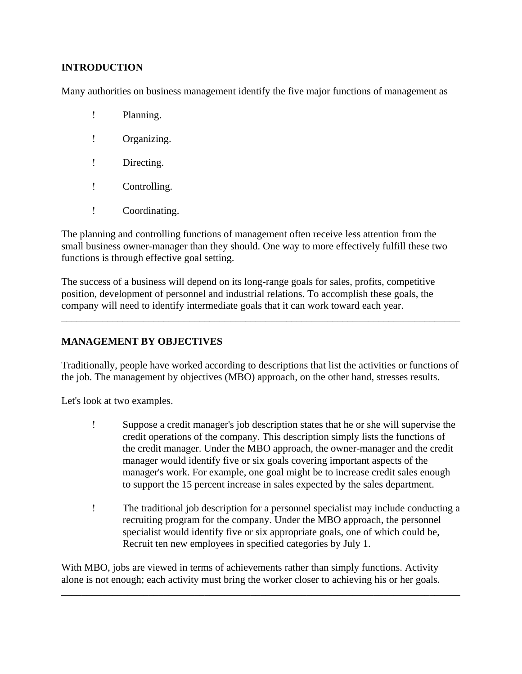## **INTRODUCTION**

Many authorities on business management identify the five major functions of management as

- ! Planning.
- ! Organizing.
- ! Directing.
- ! Controlling.
- ! Coordinating.

The planning and controlling functions of management often receive less attention from the small business owner-manager than they should. One way to more effectively fulfill these two functions is through effective goal setting.

The success of a business will depend on its long-range goals for sales, profits, competitive position, development of personnel and industrial relations. To accomplish these goals, the company will need to identify intermediate goals that it can work toward each year.

## **MANAGEMENT BY OBJECTIVES**

Traditionally, people have worked according to descriptions that list the activities or functions of the job. The management by objectives (MBO) approach, on the other hand, stresses results.

\_\_\_\_\_\_\_\_\_\_\_\_\_\_\_\_\_\_\_\_\_\_\_\_\_\_\_\_\_\_\_\_\_\_\_\_\_\_\_\_\_\_\_\_\_\_\_\_\_\_\_\_\_\_\_\_\_\_\_\_\_\_\_\_\_\_\_\_\_\_\_\_\_\_\_\_\_\_

Let's look at two examples.

- ! Suppose a credit manager's job description states that he or she will supervise the credit operations of the company. This description simply lists the functions of the credit manager. Under the MBO approach, the owner-manager and the credit manager would identify five or six goals covering important aspects of the manager's work. For example, one goal might be to increase credit sales enough to support the 15 percent increase in sales expected by the sales department.
- ! The traditional job description for a personnel specialist may include conducting a recruiting program for the company. Under the MBO approach, the personnel specialist would identify five or six appropriate goals, one of which could be, Recruit ten new employees in specified categories by July 1.

With MBO, jobs are viewed in terms of achievements rather than simply functions. Activity alone is not enough; each activity must bring the worker closer to achieving his or her goals.

\_\_\_\_\_\_\_\_\_\_\_\_\_\_\_\_\_\_\_\_\_\_\_\_\_\_\_\_\_\_\_\_\_\_\_\_\_\_\_\_\_\_\_\_\_\_\_\_\_\_\_\_\_\_\_\_\_\_\_\_\_\_\_\_\_\_\_\_\_\_\_\_\_\_\_\_\_\_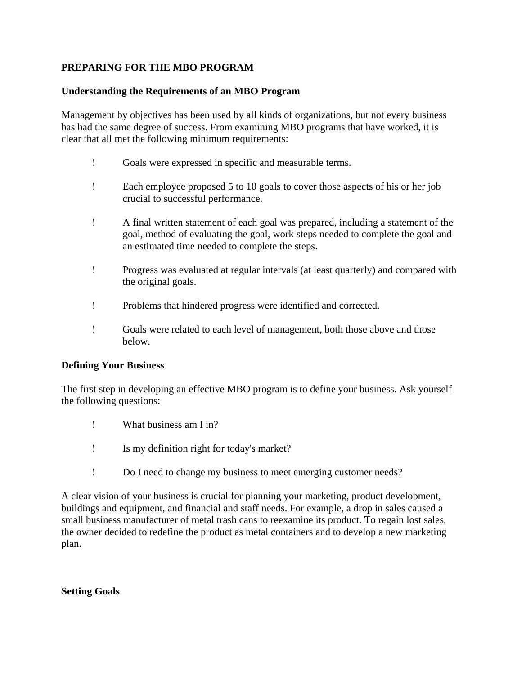## **PREPARING FOR THE MBO PROGRAM**

## **Understanding the Requirements of an MBO Program**

Management by objectives has been used by all kinds of organizations, but not every business has had the same degree of success. From examining MBO programs that have worked, it is clear that all met the following minimum requirements:

- ! Goals were expressed in specific and measurable terms.
- ! Each employee proposed 5 to 10 goals to cover those aspects of his or her job crucial to successful performance.
- ! A final written statement of each goal was prepared, including a statement of the goal, method of evaluating the goal, work steps needed to complete the goal and an estimated time needed to complete the steps.
- ! Progress was evaluated at regular intervals (at least quarterly) and compared with the original goals.
- ! Problems that hindered progress were identified and corrected.
- ! Goals were related to each level of management, both those above and those below.

#### **Defining Your Business**

The first step in developing an effective MBO program is to define your business. Ask yourself the following questions:

- ! What business am I in?
- ! Is my definition right for today's market?
- ! Do I need to change my business to meet emerging customer needs?

A clear vision of your business is crucial for planning your marketing, product development, buildings and equipment, and financial and staff needs. For example, a drop in sales caused a small business manufacturer of metal trash cans to reexamine its product. To regain lost sales, the owner decided to redefine the product as metal containers and to develop a new marketing plan.

#### **Setting Goals**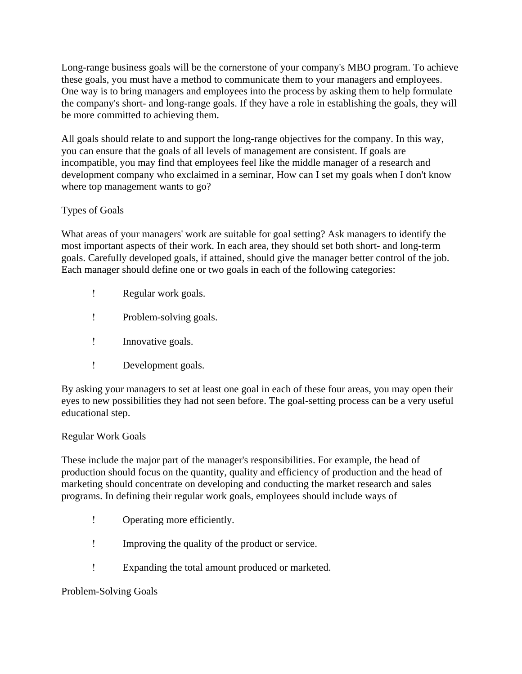Long-range business goals will be the cornerstone of your company's MBO program. To achieve these goals, you must have a method to communicate them to your managers and employees. One way is to bring managers and employees into the process by asking them to help formulate the company's short- and long-range goals. If they have a role in establishing the goals, they will be more committed to achieving them.

All goals should relate to and support the long-range objectives for the company. In this way, you can ensure that the goals of all levels of management are consistent. If goals are incompatible, you may find that employees feel like the middle manager of a research and development company who exclaimed in a seminar, How can I set my goals when I don't know where top management wants to go?

## Types of Goals

What areas of your managers' work are suitable for goal setting? Ask managers to identify the most important aspects of their work. In each area, they should set both short- and long-term goals. Carefully developed goals, if attained, should give the manager better control of the job. Each manager should define one or two goals in each of the following categories:

- ! Regular work goals.
- ! Problem-solving goals.
- ! Innovative goals.
- ! Development goals.

By asking your managers to set at least one goal in each of these four areas, you may open their eyes to new possibilities they had not seen before. The goal-setting process can be a very useful educational step.

#### Regular Work Goals

These include the major part of the manager's responsibilities. For example, the head of production should focus on the quantity, quality and efficiency of production and the head of marketing should concentrate on developing and conducting the market research and sales programs. In defining their regular work goals, employees should include ways of

- ! Operating more efficiently.
- ! Improving the quality of the product or service.
- ! Expanding the total amount produced or marketed.

## Problem-Solving Goals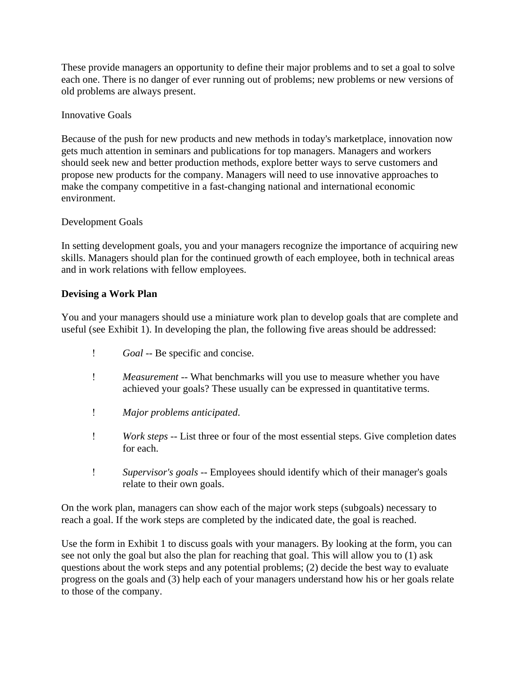These provide managers an opportunity to define their major problems and to set a goal to solve each one. There is no danger of ever running out of problems; new problems or new versions of old problems are always present.

## Innovative Goals

Because of the push for new products and new methods in today's marketplace, innovation now gets much attention in seminars and publications for top managers. Managers and workers should seek new and better production methods, explore better ways to serve customers and propose new products for the company. Managers will need to use innovative approaches to make the company competitive in a fast-changing national and international economic environment.

## Development Goals

In setting development goals, you and your managers recognize the importance of acquiring new skills. Managers should plan for the continued growth of each employee, both in technical areas and in work relations with fellow employees.

## **Devising a Work Plan**

You and your managers should use a miniature work plan to develop goals that are complete and useful (see Exhibit 1). In developing the plan, the following five areas should be addressed:

- ! *Goal* -- Be specific and concise.
- ! *Measurement* -- What benchmarks will you use to measure whether you have achieved your goals? These usually can be expressed in quantitative terms.
- ! *Major problems anticipated*.
- ! *Work steps* -- List three or four of the most essential steps. Give completion dates for each.
- ! *Supervisor's goals* -- Employees should identify which of their manager's goals relate to their own goals.

On the work plan, managers can show each of the major work steps (subgoals) necessary to reach a goal. If the work steps are completed by the indicated date, the goal is reached.

Use the form in Exhibit 1 to discuss goals with your managers. By looking at the form, you can see not only the goal but also the plan for reaching that goal. This will allow you to (1) ask questions about the work steps and any potential problems; (2) decide the best way to evaluate progress on the goals and (3) help each of your managers understand how his or her goals relate to those of the company.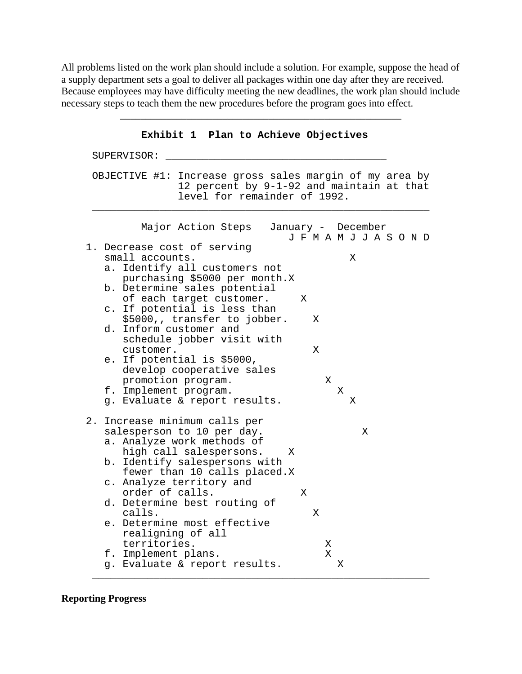All problems listed on the work plan should include a solution. For example, suppose the head of a supply department sets a goal to deliver all packages within one day after they are received. Because employees may have difficulty meeting the new deadlines, the work plan should include necessary steps to teach them the new procedures before the program goes into effect.

|    | SUPERVISOR:<br>OBJECTIVE #1: Increase gross sales margin of my area by    |
|----|---------------------------------------------------------------------------|
|    | 12 percent by 9-1-92 and maintain at that<br>level for remainder of 1992. |
|    | Major Action Steps January - December                                     |
|    | J F M A M J J A S O N D                                                   |
|    | 1. Decrease cost of serving<br>small accounts.<br>Χ                       |
|    | Identify all customers not<br>а.                                          |
|    | purchasing \$5000 per month.X                                             |
|    | b. Determine sales potential                                              |
|    | of each target customer.<br>Χ                                             |
|    | c. If potential is less than                                              |
|    | \$5000,, transfer to jobber.<br>Χ                                         |
|    | Inform customer and<br>d.                                                 |
|    | schedule jobber visit with<br>customer.                                   |
|    | Χ<br>e. If potential is \$5000,                                           |
|    | develop cooperative sales                                                 |
|    | promotion program.<br>Χ                                                   |
|    | f. Implement program.<br>Χ                                                |
|    | g. Evaluate & report results.<br>Χ                                        |
| 2. | Increase minimum calls per                                                |
|    | salesperson to 10 per day.<br>Χ                                           |
|    | a. Analyze work methods of                                                |
|    | high call salespersons.<br>х<br>b. Identify salespersons with             |
|    | fewer than 10 calls placed.X                                              |
|    | c. Analyze territory and                                                  |
|    | order of calls.<br>Χ                                                      |
|    | d. Determine best routing of                                              |
|    | calls.<br>Χ                                                               |
|    | e. Determine most effective                                               |
|    | realigning of all                                                         |
|    | territories.<br>X<br>f. Implement plans.<br>Χ                             |
|    |                                                                           |

 $\overline{\phantom{a}}$  ,  $\overline{\phantom{a}}$  ,  $\overline{\phantom{a}}$  ,  $\overline{\phantom{a}}$  ,  $\overline{\phantom{a}}$  ,  $\overline{\phantom{a}}$  ,  $\overline{\phantom{a}}$  ,  $\overline{\phantom{a}}$  ,  $\overline{\phantom{a}}$  ,  $\overline{\phantom{a}}$  ,  $\overline{\phantom{a}}$  ,  $\overline{\phantom{a}}$  ,  $\overline{\phantom{a}}$  ,  $\overline{\phantom{a}}$  ,  $\overline{\phantom{a}}$  ,  $\overline{\phantom{a}}$ 

**Reporting Progress**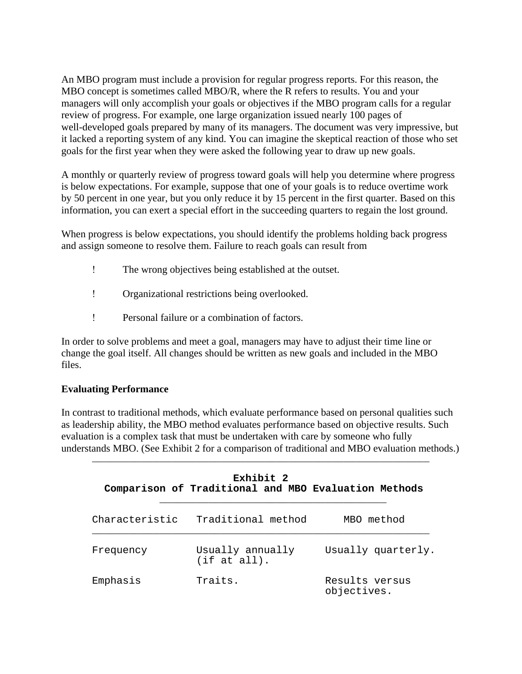An MBO program must include a provision for regular progress reports. For this reason, the MBO concept is sometimes called MBO/R, where the R refers to results. You and your managers will only accomplish your goals or objectives if the MBO program calls for a regular review of progress. For example, one large organization issued nearly 100 pages of well-developed goals prepared by many of its managers. The document was very impressive, but it lacked a reporting system of any kind. You can imagine the skeptical reaction of those who set goals for the first year when they were asked the following year to draw up new goals.

A monthly or quarterly review of progress toward goals will help you determine where progress is below expectations. For example, suppose that one of your goals is to reduce overtime work by 50 percent in one year, but you only reduce it by 15 percent in the first quarter. Based on this information, you can exert a special effort in the succeeding quarters to regain the lost ground.

When progress is below expectations, you should identify the problems holding back progress and assign someone to resolve them. Failure to reach goals can result from

- ! The wrong objectives being established at the outset.
- ! Organizational restrictions being overlooked.
- ! Personal failure or a combination of factors.

In order to solve problems and meet a goal, managers may have to adjust their time line or change the goal itself. All changes should be written as new goals and included in the MBO files.

## **Evaluating Performance**

In contrast to traditional methods, which evaluate performance based on personal qualities such as leadership ability, the MBO method evaluates performance based on objective results. Such evaluation is a complex task that must be undertaken with care by someone who fully understands MBO. (See Exhibit 2 for a comparison of traditional and MBO evaluation methods.)

 $\overline{\phantom{a}}$  , and the contract of the contract of the contract of the contract of the contract of the contract of the contract of the contract of the contract of the contract of the contract of the contract of the contrac

|                | Exhibit 2<br>Comparison of Traditional and MBO Evaluation Methods |                               |
|----------------|-------------------------------------------------------------------|-------------------------------|
| Characteristic | Traditional method                                                | MBO method                    |
| Frequency      | Usually annually<br>$(it \atop at all).$                          | Usually quarterly.            |
| Emphasis       | Traits.                                                           | Results versus<br>objectives. |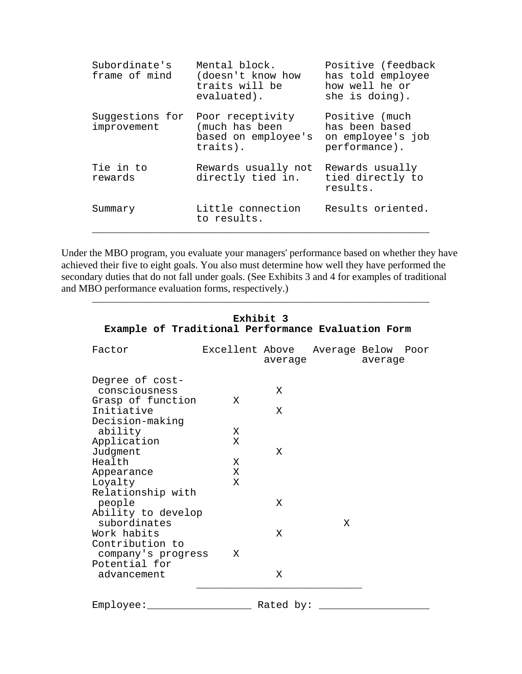| Subordinate's<br>frame of mind | Mental block.<br>(doesn't know how<br>traits will be<br>evaluated).      | Positive (feedback<br>has told employee<br>how well he or<br>she is doing). |
|--------------------------------|--------------------------------------------------------------------------|-----------------------------------------------------------------------------|
| Suggestions for<br>improvement | Poor receptivity<br>(much has been<br>based on employee's<br>$trails)$ . | Positive (much<br>has been based<br>on employee's job<br>performance).      |
| Tie in to<br>rewards           | Rewards usually not<br>directly tied in.                                 | Rewards usually<br>tied directly to<br>results.                             |
| Summary                        | Little connection<br>to results.                                         | Results oriented.                                                           |

Under the MBO program, you evaluate your managers' performance based on whether they have achieved their five to eight goals. You also must determine how well they have performed the secondary duties that do not fall under goals. (See Exhibits 3 and 4 for examples of traditional and MBO performance evaluation forms, respectively.)  $\overline{\phantom{a}}$  ,  $\overline{\phantom{a}}$  ,  $\overline{\phantom{a}}$  ,  $\overline{\phantom{a}}$  ,  $\overline{\phantom{a}}$  ,  $\overline{\phantom{a}}$  ,  $\overline{\phantom{a}}$  ,  $\overline{\phantom{a}}$  ,  $\overline{\phantom{a}}$  ,  $\overline{\phantom{a}}$  ,  $\overline{\phantom{a}}$  ,  $\overline{\phantom{a}}$  ,  $\overline{\phantom{a}}$  ,  $\overline{\phantom{a}}$  ,  $\overline{\phantom{a}}$  ,  $\overline{\phantom{a}}$ 

| Factor             | Excellent Above | average | Average Below | average | Poor |
|--------------------|-----------------|---------|---------------|---------|------|
| Degree of cost-    |                 |         |               |         |      |
| consciousness      |                 | Χ       |               |         |      |
| Grasp of function  | X               |         |               |         |      |
| Initiative         |                 | X       |               |         |      |
| Decision-making    |                 |         |               |         |      |
| ability            | Χ               |         |               |         |      |
| Application        | X               |         |               |         |      |
| Judgment           |                 | X       |               |         |      |
| Health             | X               |         |               |         |      |
| Appearance         | X               |         |               |         |      |
| Loyalty            | X               |         |               |         |      |
| Relationship with  |                 |         |               |         |      |
| people             |                 | Χ       |               |         |      |
| Ability to develop |                 |         |               |         |      |
| subordinates       |                 |         | X             |         |      |
| Work habits        |                 | Χ       |               |         |      |
| Contribution to    |                 |         |               |         |      |
| company's progress | X               |         |               |         |      |
| Potential for      |                 |         |               |         |      |
| advancement        |                 | X       |               |         |      |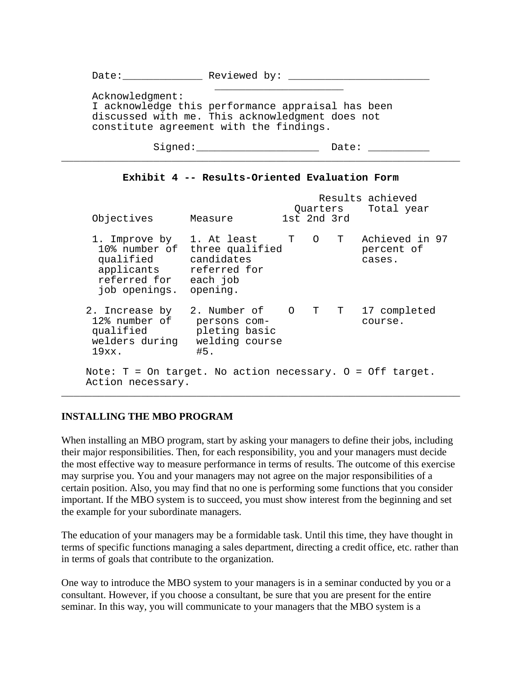| Date:           | Reviewed by: |
|-----------------|--------------|
| Acknowledgment: |              |

 I acknowledge this performance appraisal has been discussed with me. This acknowledgment does not constitute agreement with the findings.

```
 Signed:____________________ Date: __________
```
#### **Exhibit 4 -- Results-Oriented Evaluation Form**

\_\_\_\_\_\_\_\_\_\_\_\_\_\_\_\_\_\_\_\_\_\_\_\_\_\_\_\_\_\_\_\_\_\_\_\_\_\_\_\_\_\_\_\_\_\_\_\_\_\_\_\_\_\_\_\_\_\_\_\_\_\_\_\_\_

| Objectives                                                                                             | Measure                                                               |          | 1st 2nd 3rd |         | Results achieved<br>Quarters Total year |
|--------------------------------------------------------------------------------------------------------|-----------------------------------------------------------------------|----------|-------------|---------|-----------------------------------------|
| 1. Improve by 1. At least<br>10% number of<br>qualified<br>applicants<br>referred for<br>job openings. | three qualified<br>candidates<br>referred for<br>each job<br>opening. | T        |             | $O$ T   | Achieved in 97<br>percent of<br>cases.  |
| 2. Increase by<br>12% number of persons com-<br>qualified<br>welders during<br>19xx.                   | 2. Number of<br>pleting basic<br>welding course<br>#5.                | $\Omega$ |             | $T$ $T$ | 17 completed<br>course.                 |
| Note: $T = 0n$ target. No action necessary. $0 = 0ff$ target.<br>Action necessary.                     |                                                                       |          |             |         |                                         |

## **INSTALLING THE MBO PROGRAM**

When installing an MBO program, start by asking your managers to define their jobs, including their major responsibilities. Then, for each responsibility, you and your managers must decide the most effective way to measure performance in terms of results. The outcome of this exercise may surprise you. You and your managers may not agree on the major responsibilities of a certain position. Also, you may find that no one is performing some functions that you consider important. If the MBO system is to succeed, you must show interest from the beginning and set the example for your subordinate managers.

The education of your managers may be a formidable task. Until this time, they have thought in terms of specific functions managing a sales department, directing a credit office, etc. rather than in terms of goals that contribute to the organization.

One way to introduce the MBO system to your managers is in a seminar conducted by you or a consultant. However, if you choose a consultant, be sure that you are present for the entire seminar. In this way, you will communicate to your managers that the MBO system is a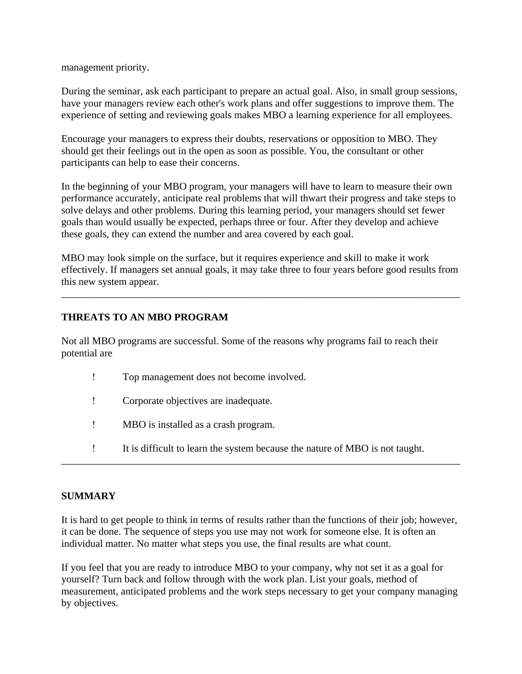management priority.

During the seminar, ask each participant to prepare an actual goal. Also, in small group sessions, have your managers review each other's work plans and offer suggestions to improve them. The experience of setting and reviewing goals makes MBO a learning experience for all employees.

Encourage your managers to express their doubts, reservations or opposition to MBO. They should get their feelings out in the open as soon as possible. You, the consultant or other participants can help to ease their concerns.

In the beginning of your MBO program, your managers will have to learn to measure their own performance accurately, anticipate real problems that will thwart their progress and take steps to solve delays and other problems. During this learning period, your managers should set fewer goals than would usually be expected, perhaps three or four. After they develop and achieve these goals, they can extend the number and area covered by each goal.

MBO may look simple on the surface, but it requires experience and skill to make it work effectively. If managers set annual goals, it may take three to four years before good results from this new system appear.

\_\_\_\_\_\_\_\_\_\_\_\_\_\_\_\_\_\_\_\_\_\_\_\_\_\_\_\_\_\_\_\_\_\_\_\_\_\_\_\_\_\_\_\_\_\_\_\_\_\_\_\_\_\_\_\_\_\_\_\_\_\_\_\_\_\_\_\_\_\_\_\_\_\_\_\_\_\_

## **THREATS TO AN MBO PROGRAM**

Not all MBO programs are successful. Some of the reasons why programs fail to reach their potential are

- ! Top management does not become involved.
- ! Corporate objectives are inadequate.
- ! MBO is installed as a crash program.
- ! It is difficult to learn the system because the nature of MBO is not taught.

\_\_\_\_\_\_\_\_\_\_\_\_\_\_\_\_\_\_\_\_\_\_\_\_\_\_\_\_\_\_\_\_\_\_\_\_\_\_\_\_\_\_\_\_\_\_\_\_\_\_\_\_\_\_\_\_\_\_\_\_\_\_\_\_\_\_\_\_\_\_\_\_\_\_\_\_\_\_

#### **SUMMARY**

It is hard to get people to think in terms of results rather than the functions of their job; however, it can be done. The sequence of steps you use may not work for someone else. It is often an individual matter. No matter what steps you use, the final results are what count.

If you feel that you are ready to introduce MBO to your company, why not set it as a goal for yourself? Turn back and follow through with the work plan. List your goals, method of measurement, anticipated problems and the work steps necessary to get your company managing by objectives.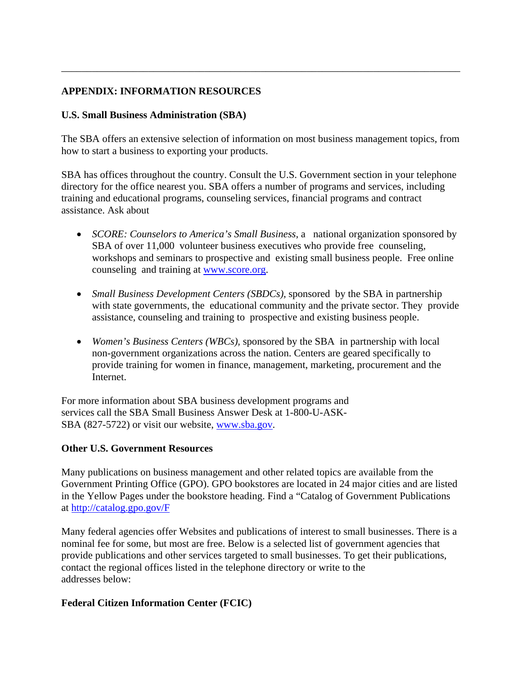## **APPENDIX: INFORMATION RESOURCES**

### **U.S. Small Business Administration (SBA)**

The SBA offers an extensive selection of information on most business management topics, from how to start a business to exporting your products.

\_\_\_\_\_\_\_\_\_\_\_\_\_\_\_\_\_\_\_\_\_\_\_\_\_\_\_\_\_\_\_\_\_\_\_\_\_\_\_\_\_\_\_\_\_\_\_\_\_\_\_\_\_\_\_\_\_\_\_\_\_\_\_\_\_\_\_\_\_\_\_\_\_\_\_\_\_\_

SBA has offices throughout the country. Consult the U.S. Government section in your telephone directory for the office nearest you. SBA offers a number of programs and services, including training and educational programs, counseling services, financial programs and contract assistance. Ask about

- *SCORE: Counselors to America's Small Business*, a national organization sponsored by SBA of over 11,000 volunteer business executives who provide free counseling, workshops and seminars to prospective and existing small business people. Free online counseling and training at www.score.org.
- *Small Business Development Centers (SBDCs)*, sponsored by the SBA in partnership with state governments, the educational community and the private sector. They provide assistance, counseling and training to prospective and existing business people.
- *Women's Business Centers (WBCs),* sponsored by the SBA in partnership with local non-government organizations across the nation. Centers are geared specifically to provide training for women in finance, management, marketing, procurement and the Internet.

For more information about SBA business development programs and services call the SBA Small Business Answer Desk at 1-800-U-ASK-SBA (827-5722) or visit our website, www.sba.gov.

## **Other U.S. Government Resources**

Many publications on business management and other related topics are available from the Government Printing Office (GPO). GPO bookstores are located in 24 major cities and are listed in the Yellow Pages under the bookstore heading. Find a "Catalog of Government Publications at http://catalog.gpo.gov/F

Many federal agencies offer Websites and publications of interest to small businesses. There is a nominal fee for some, but most are free. Below is a selected list of government agencies that provide publications and other services targeted to small businesses. To get their publications, contact the regional offices listed in the telephone directory or write to the addresses below:

## **Federal Citizen Information Center (FCIC)**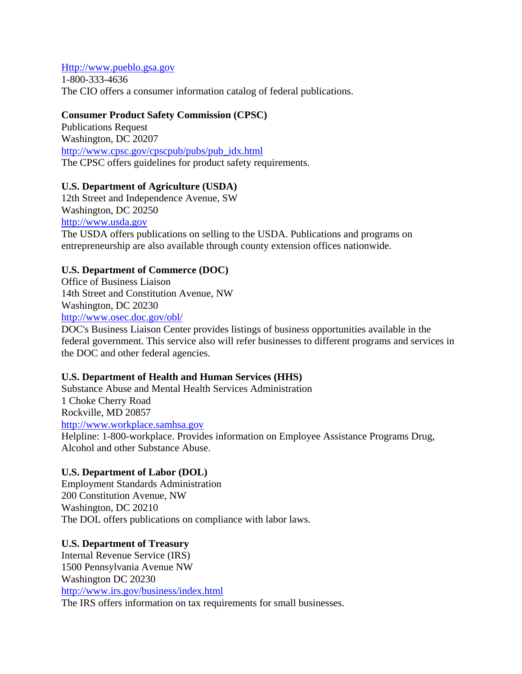Http://www.pueblo.gsa.gov 1-800-333-4636 The CIO offers a consumer information catalog of federal publications.

#### **Consumer Product Safety Commission (CPSC)**

Publications Request Washington, DC 20207 http://www.cpsc.gov/cpscpub/pubs/pub\_idx.html The CPSC offers guidelines for product safety requirements.

### **U.S. Department of Agriculture (USDA)**

12th Street and Independence Avenue, SW Washington, DC 20250 http://www.usda.gov The USDA offers publications on selling to the USDA. Publications and programs on entrepreneurship are also available through county extension offices nationwide.

## **U.S. Department of Commerce (DOC)**

Office of Business Liaison 14th Street and Constitution Avenue, NW Washington, DC 20230 http://www.osec.doc.gov/obl/

DOC's Business Liaison Center provides listings of business opportunities available in the federal government. This service also will refer businesses to different programs and services in the DOC and other federal agencies.

## **U.S. Department of Health and Human Services (HHS)**

Substance Abuse and Mental Health Services Administration 1 Choke Cherry Road Rockville, MD 20857 http://www.workplace.samhsa.gov Helpline: 1-800-workplace. Provides information on Employee Assistance Programs Drug,

## **U.S. Department of Labor (DOL)**

Alcohol and other Substance Abuse.

Employment Standards Administration 200 Constitution Avenue, NW Washington, DC 20210 The DOL offers publications on compliance with labor laws.

#### **U.S. Department of Treasury**

Internal Revenue Service (IRS) 1500 Pennsylvania Avenue NW Washington DC 20230 http://www.irs.gov/business/index.html

The IRS offers information on tax requirements for small businesses.